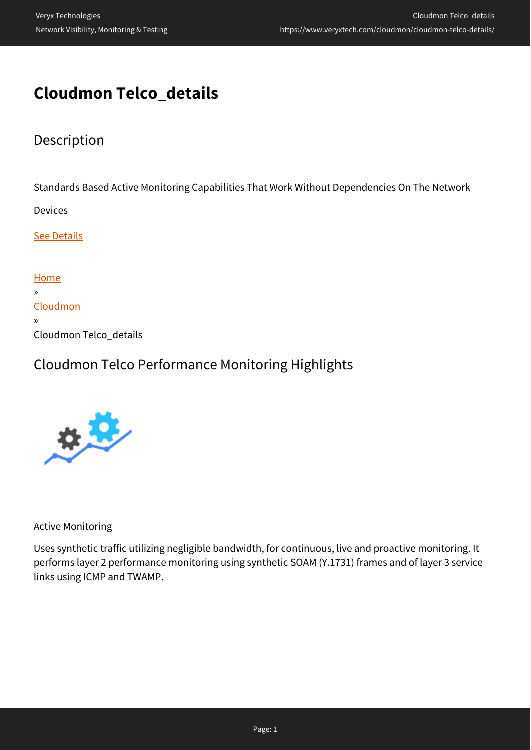# **Cloudmon Telco\_details**

## Description

Standards Based Active Monitoring Capabilities That Work Without Dependencies On The Network

Devices

**[See Details](#page--1-0)** 

| Home                   |
|------------------------|
| $\mathcal{D}$          |
| Cloudmon               |
| $\mathcal{D}$          |
| Cloudmon Telco_details |

### Cloudmon Telco Performance Monitoring Highlights



Active Monitoring

Uses synthetic traffic utilizing negligible bandwidth, for continuous, live and proactive monitoring. It performs layer 2 performance monitoring using synthetic SOAM (Y.1731) frames and of layer 3 service links using ICMP and TWAMP.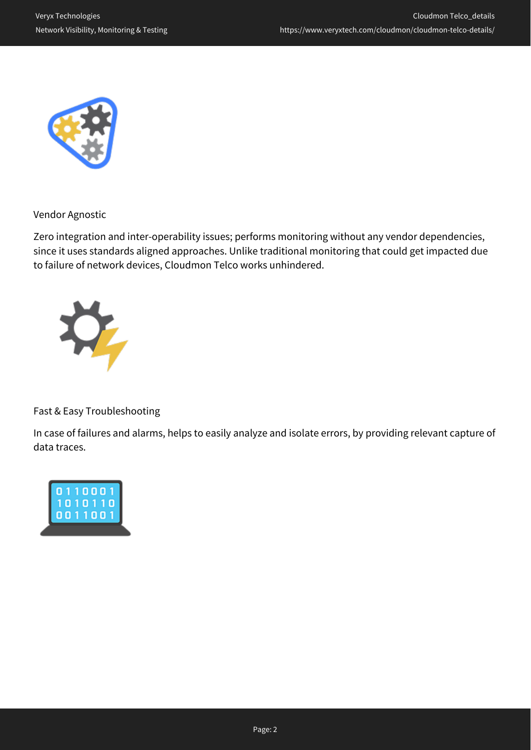

Vendor Agnostic

Zero integration and inter-operability issues; performs monitoring without any vendor dependencies, since it uses standards aligned approaches. Unlike traditional monitoring that could get impacted due to failure of network devices, Cloudmon Telco works unhindered.



Fast & Easy Troubleshooting

In case of failures and alarms, helps to easily analyze and isolate errors, by providing relevant capture of data traces.

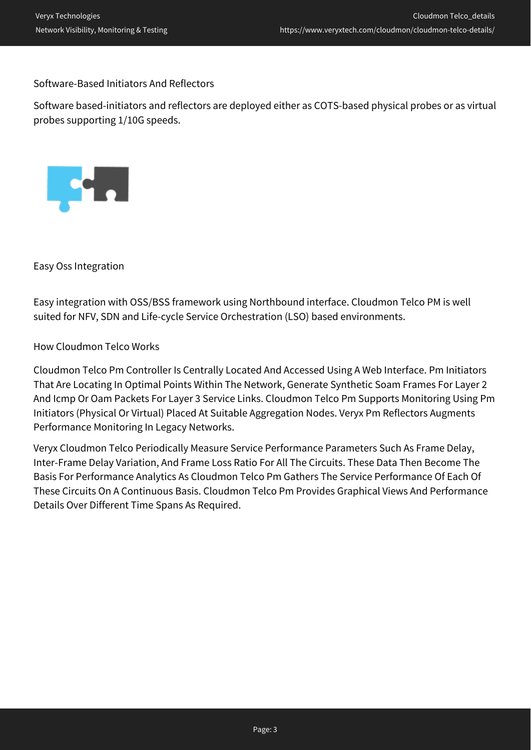#### Software-Based Initiators And Reflectors

Software based-initiators and reflectors are deployed either as COTS-based physical probes or as virtual probes supporting 1/10G speeds.



Easy Oss Integration

Easy integration with OSS/BSS framework using Northbound interface. Cloudmon Telco PM is well suited for NFV, SDN and Life-cycle Service Orchestration (LSO) based environments.

#### How Cloudmon Telco Works

Cloudmon Telco Pm Controller Is Centrally Located And Accessed Using A Web Interface. Pm Initiators That Are Locating In Optimal Points Within The Network, Generate Synthetic Soam Frames For Layer 2 And Icmp Or Oam Packets For Layer 3 Service Links. Cloudmon Telco Pm Supports Monitoring Using Pm Initiators (Physical Or Virtual) Placed At Suitable Aggregation Nodes. Veryx Pm Reflectors Augments Performance Monitoring In Legacy Networks.

Veryx Cloudmon Telco Periodically Measure Service Performance Parameters Such As Frame Delay, Inter-Frame Delay Variation, And Frame Loss Ratio For All The Circuits. These Data Then Become The Basis For Performance Analytics As Cloudmon Telco Pm Gathers The Service Performance Of Each Of These Circuits On A Continuous Basis. Cloudmon Telco Pm Provides Graphical Views And Performance Details Over Different Time Spans As Required.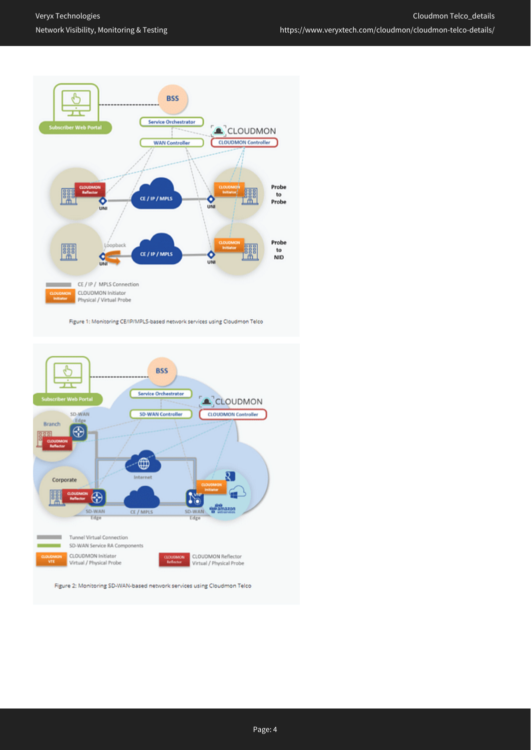

Figure 1: Monitoring CE/IP/MPLS-based network services using Cloudmon Telco



Figure 2: Monitoring SD-WAN-based network services using Cloudmon Telco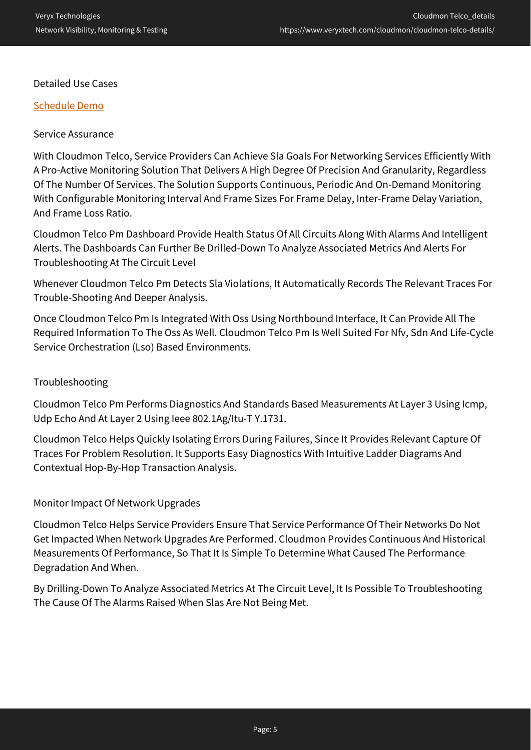#### Detailed Use Cases

#### [Schedule Demo](https://www.veryxtech.com/#contact)

#### Service Assurance

With Cloudmon Telco, Service Providers Can Achieve Sla Goals For Networking Services Efficiently With A Pro-Active Monitoring Solution That Delivers A High Degree Of Precision And Granularity, Regardless Of The Number Of Services. The Solution Supports Continuous, Periodic And On-Demand Monitoring With Configurable Monitoring Interval And Frame Sizes For Frame Delay, Inter-Frame Delay Variation, And Frame Loss Ratio.

Cloudmon Telco Pm Dashboard Provide Health Status Of All Circuits Along With Alarms And Intelligent Alerts. The Dashboards Can Further Be Drilled-Down To Analyze Associated Metrics And Alerts For Troubleshooting At The Circuit Level

Whenever Cloudmon Telco Pm Detects Sla Violations, It Automatically Records The Relevant Traces For Trouble-Shooting And Deeper Analysis.

Once Cloudmon Telco Pm Is Integrated With Oss Using Northbound Interface, It Can Provide All The Required Information To The Oss As Well. Cloudmon Telco Pm Is Well Suited For Nfv, Sdn And Life-Cycle Service Orchestration (Lso) Based Environments.

#### Troubleshooting

Cloudmon Telco Pm Performs Diagnostics And Standards Based Measurements At Layer 3 Using Icmp, Udp Echo And At Layer 2 Using Ieee 802.1Ag/Itu-T Y.1731.

Cloudmon Telco Helps Quickly Isolating Errors During Failures, Since It Provides Relevant Capture Of Traces For Problem Resolution. It Supports Easy Diagnostics With Intuitive Ladder Diagrams And Contextual Hop-By-Hop Transaction Analysis.

#### Monitor Impact Of Network Upgrades

Cloudmon Telco Helps Service Providers Ensure That Service Performance Of Their Networks Do Not Get Impacted When Network Upgrades Are Performed. Cloudmon Provides Continuous And Historical Measurements Of Performance, So That It Is Simple To Determine What Caused The Performance Degradation And When.

By Drilling-Down To Analyze Associated Metrics At The Circuit Level, It Is Possible To Troubleshooting The Cause Of The Alarms Raised When Slas Are Not Being Met.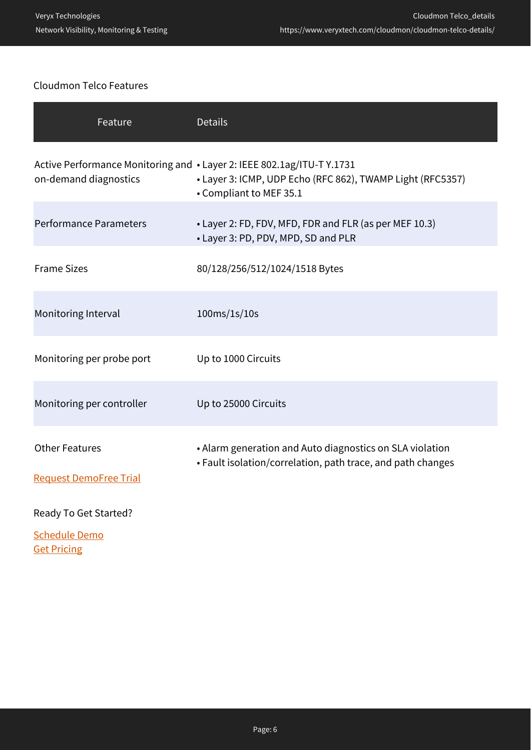### Cloudmon Telco Features

| Feature                                                                                         | <b>Details</b>                                                                                                          |
|-------------------------------------------------------------------------------------------------|-------------------------------------------------------------------------------------------------------------------------|
| Active Performance Monitoring and • Layer 2: IEEE 802.1ag/ITU-T Y.1731<br>on-demand diagnostics | • Layer 3: ICMP, UDP Echo (RFC 862), TWAMP Light (RFC5357)<br>• Compliant to MEF 35.1                                   |
| <b>Performance Parameters</b>                                                                   | • Layer 2: FD, FDV, MFD, FDR and FLR (as per MEF 10.3)<br>• Layer 3: PD, PDV, MPD, SD and PLR                           |
| <b>Frame Sizes</b>                                                                              | 80/128/256/512/1024/1518 Bytes                                                                                          |
| Monitoring Interval                                                                             | $100 \text{ms}/1\text{s}/10\text{s}$                                                                                    |
| Monitoring per probe port                                                                       | Up to 1000 Circuits                                                                                                     |
| Monitoring per controller                                                                       | Up to 25000 Circuits                                                                                                    |
| <b>Other Features</b>                                                                           | • Alarm generation and Auto diagnostics on SLA violation<br>• Fault isolation/correlation, path trace, and path changes |
| <b>Request DemoFree Trial</b>                                                                   |                                                                                                                         |
| Ready To Get Started?                                                                           |                                                                                                                         |

[Schedule Demo](https://www.veryxtech.com/#contact) **Get Pricing**